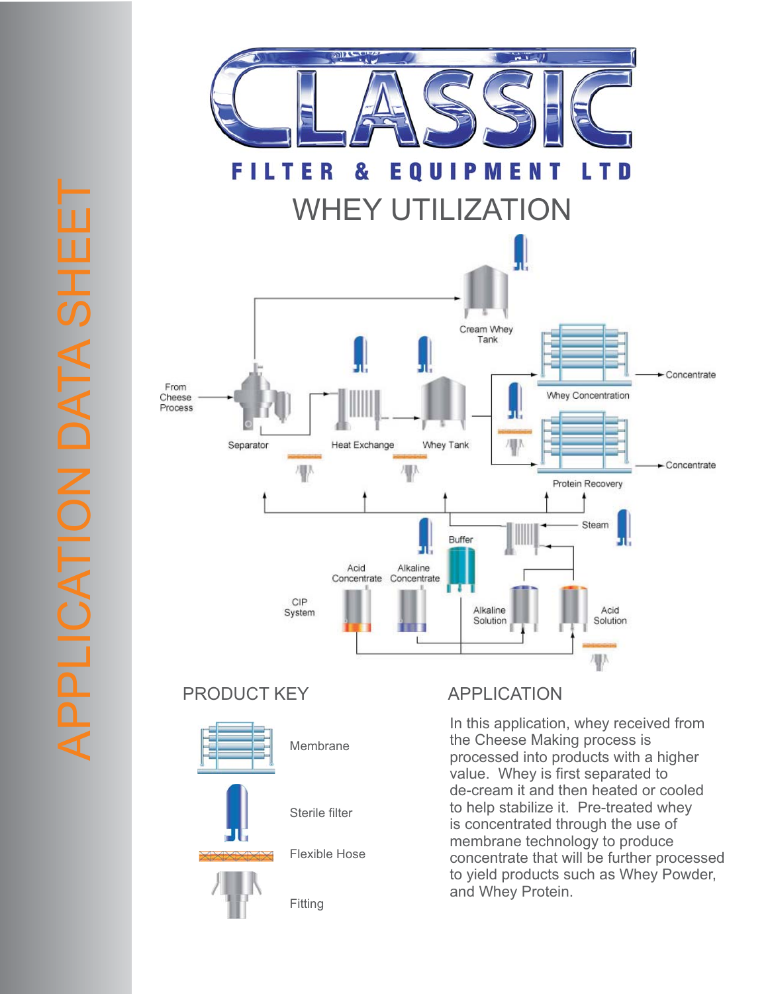

PRODUCT KEY APPLICATION



In this application, whey received from the Cheese Making process is processed into products with a higher value. Whey is first separated to de-cream it and then heated or cooled to help stabilize it. Pre-treated whey is concentrated through the use of membrane technology to produce concentrate that will be further processed to yield products such as Whey Powder, and Whey Protein.